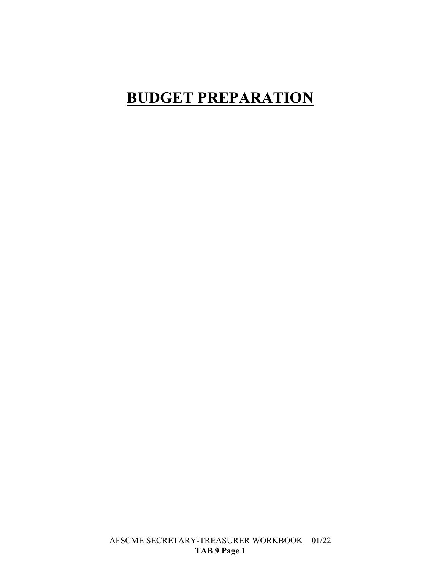# **BUDGET PREPARATION**

AFSCME SECRETARY-TREASURER WORKBOOK 01/22 **TAB 9 Page 1**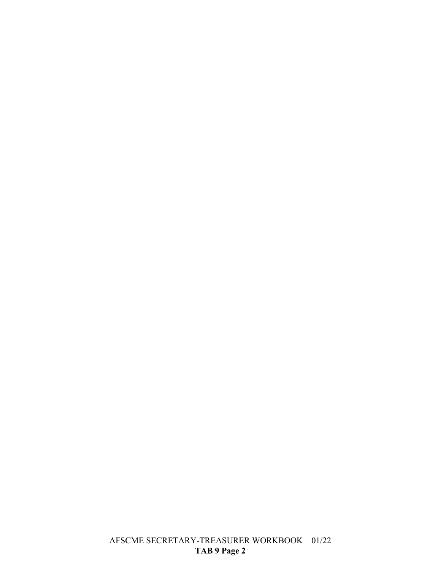#### AFSCME SECRETARY-TREASURER WORKBOOK 01/22 **TAB 9 Page 2**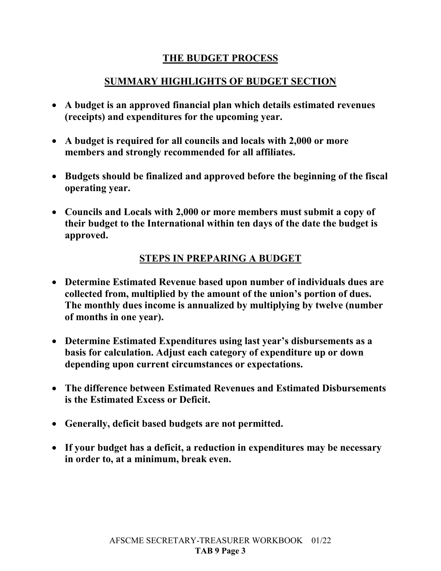### **THE BUDGET PROCESS**

# **SUMMARY HIGHLIGHTS OF BUDGET SECTION**

- **A budget is an approved financial plan which details estimated revenues (receipts) and expenditures for the upcoming year.**
- **A budget is required for all councils and locals with 2,000 or more members and strongly recommended for all affiliates.**
- **Budgets should be finalized and approved before the beginning of the fiscal operating year.**
- **Councils and Locals with 2,000 or more members must submit a copy of their budget to the International within ten days of the date the budget is approved.**

# **STEPS IN PREPARING A BUDGET**

- **Determine Estimated Revenue based upon number of individuals dues are collected from, multiplied by the amount of the union's portion of dues. The monthly dues income is annualized by multiplying by twelve (number of months in one year).**
- **Determine Estimated Expenditures using last year's disbursements as a basis for calculation. Adjust each category of expenditure up or down depending upon current circumstances or expectations.**
- **The difference between Estimated Revenues and Estimated Disbursements is the Estimated Excess or Deficit.**
- **Generally, deficit based budgets are not permitted.**
- **If your budget has a deficit, a reduction in expenditures may be necessary in order to, at a minimum, break even.**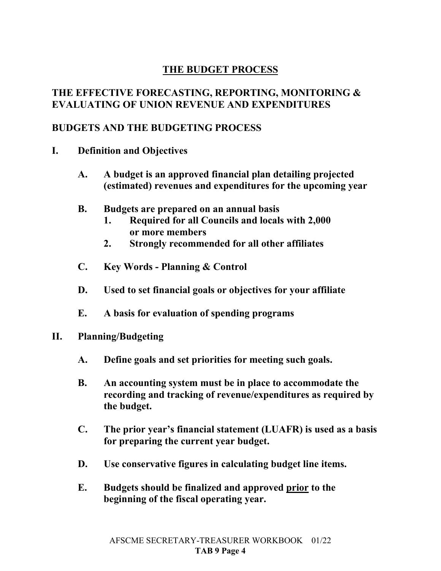# **THE BUDGET PROCESS**

### **THE EFFECTIVE FORECASTING, REPORTING, MONITORING & EVALUATING OF UNION REVENUE AND EXPENDITURES**

### **BUDGETS AND THE BUDGETING PROCESS**

- **I. Definition and Objectives**
	- **A. A budget is an approved financial plan detailing projected (estimated) revenues and expenditures for the upcoming year**
	- **B. Budgets are prepared on an annual basis**
		- **1. Required for all Councils and locals with 2,000 or more members**
		- **2. Strongly recommended for all other affiliates**
	- **C. Key Words - Planning & Control**
	- **D. Used to set financial goals or objectives for your affiliate**
	- **E. A basis for evaluation of spending programs**
- **II. Planning/Budgeting**
	- **A. Define goals and set priorities for meeting such goals.**
	- **B. An accounting system must be in place to accommodate the recording and tracking of revenue/expenditures as required by the budget.**
	- **C. The prior year's financial statement (LUAFR) is used as a basis for preparing the current year budget.**
	- **D. Use conservative figures in calculating budget line items.**
	- **E. Budgets should be finalized and approved prior to the beginning of the fiscal operating year.**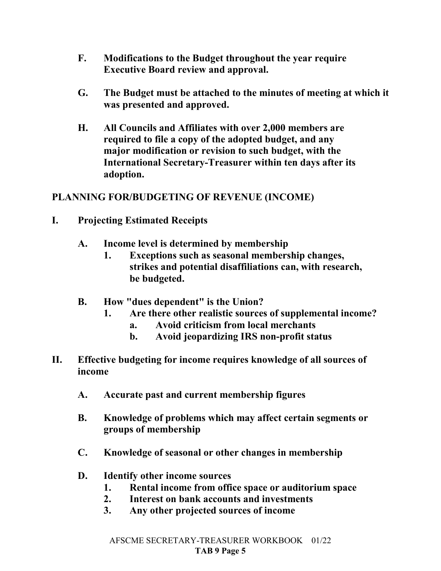- **F. Modifications to the Budget throughout the year require Executive Board review and approval.**
- **G. The Budget must be attached to the minutes of meeting at which it was presented and approved.**
- **H. All Councils and Affiliates with over 2,000 members are required to file a copy of the adopted budget, and any major modification or revision to such budget, with the International Secretary-Treasurer within ten days after its adoption.**

# **PLANNING FOR/BUDGETING OF REVENUE (INCOME)**

- **I. Projecting Estimated Receipts**
	- **A. Income level is determined by membership**
		- **1. Exceptions such as seasonal membership changes, strikes and potential disaffiliations can, with research, be budgeted.**
	- **B. How "dues dependent" is the Union?**
		- **1. Are there other realistic sources of supplemental income?**
			- **a. Avoid criticism from local merchants**
			- **b. Avoid jeopardizing IRS non-profit status**
- **II. Effective budgeting for income requires knowledge of all sources of income**
	- **A. Accurate past and current membership figures**
	- **B. Knowledge of problems which may affect certain segments or groups of membership**
	- **C. Knowledge of seasonal or other changes in membership**
	- **D. Identify other income sources**
		- **1. Rental income from office space or auditorium space**
		- **2. Interest on bank accounts and investments**
		- **3. Any other projected sources of income**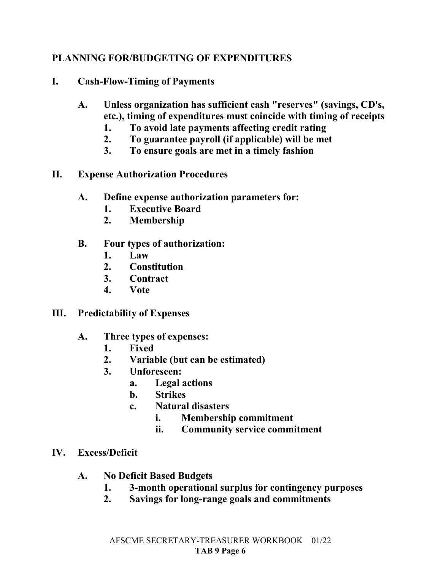### **PLANNING FOR/BUDGETING OF EXPENDITURES**

- **I. Cash-Flow-Timing of Payments**
	- **A. Unless organization has sufficient cash "reserves" (savings, CD's, etc.), timing of expenditures must coincide with timing of receipts**
		- **1. To avoid late payments affecting credit rating**
		- **2. To guarantee payroll (if applicable) will be met**
		- **3. To ensure goals are met in a timely fashion**
- **II. Expense Authorization Procedures**
	- **A. Define expense authorization parameters for:**
		- **1. Executive Board**
		- **2. Membership**

#### **B. Four types of authorization:**

- **1. Law**
- **2. Constitution**
- **3. Contract**
- **4. Vote**
- **III. Predictability of Expenses**
	- **A. Three types of expenses:**
		- **1. Fixed**
		- **2. Variable (but can be estimated)**
		- **3. Unforeseen:**
			- **a. Legal actions**
			- **b. Strikes**
			- **c. Natural disasters**
				- **i. Membership commitment**
				- **ii. Community service commitment**
- **IV. Excess/Deficit**
	- **A. No Deficit Based Budgets**
		- **1. 3-month operational surplus for contingency purposes**
		- **2. Savings for long-range goals and commitments**